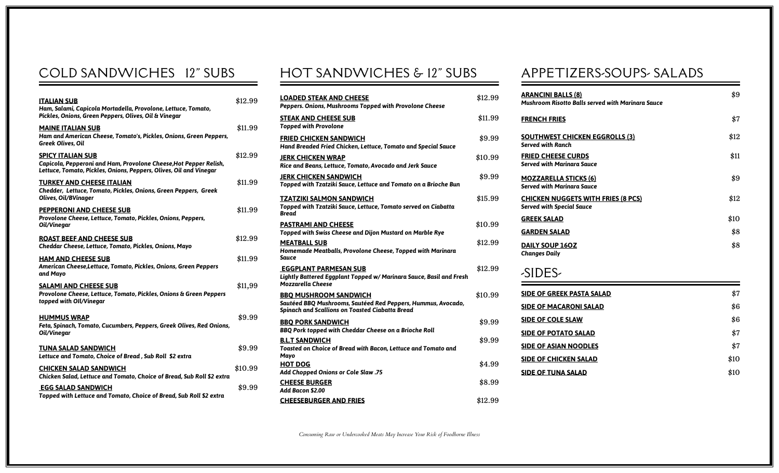## COLD SANDWICHES 12" SUBS

| <b>ITALIAN SUB</b><br>Ham, Salami, Capicola Mortadella, Provolone, Lettuce, Tomato,<br>Pickles, Onions, Green Peppers, Olives, Oil & Vinegar                        | \$12.99 |
|---------------------------------------------------------------------------------------------------------------------------------------------------------------------|---------|
| <b>MAINE ITALIAN SUB</b><br>Ham and American Cheese, Tomato's, Pickles, Onions, Green Peppers,<br><b>Greek Olives, Oil</b>                                          | \$11.99 |
| <b>SPICY ITALIAN SUB</b><br>Capicola, Pepperoni and Ham, Provolone Cheese, Hot Pepper Relish,<br>Lettuce, Tomato, Pickles, Onions, Peppers, Olives, Oil and Vinegar | \$12.99 |
| <b>TURKEY AND CHEESE ITALIAN</b><br>Chedder, Lettuce, Tomato, Pickles, Onions, Green Peppers, Greek<br>Olives, Oil/BVinager                                         | \$11.99 |
| <b>PEPPERONI AND CHEESE SUB</b><br>Provolone Cheese, Lettuce, Tomato, Pickles, Onions, Peppers,<br>Oil/Vinegar                                                      | \$11.99 |
| <b>ROAST BEEF AND CHEESE SUB</b><br>Cheddar Cheese, Lettuce, Tomato, Pickles, Onions, Mayo                                                                          | \$12.99 |
| <b>HAM AND CHEESE SUB</b><br>American Cheese, Lettuce, Tomato, Pickles, Onions, Green Peppers<br>and Mayo                                                           | \$11.99 |
| <b>SALAMI AND CHEESE SUB</b><br>Provolone Cheese, Lettuce, Tomato, Pickles, Onions & Green Peppers<br>topped with OII/Vinegar                                       | \$11,99 |
| <b>HUMMUS WRAP</b><br>Feta, Spinach, Tomato, Cucumbers, Peppers, Greek Olives, Red Onions,<br>Oil/Vinegar                                                           | \$9.99  |
| <b>TUNA SALAD SANDWICH</b><br>Lettuce and Tomato, Choice of Bread, Sub Roll \$2 extra                                                                               | \$9.99  |
| <b>CHICKEN SALAD SANDWICH</b><br>Chicken Salad, Lettuce and Tomato, Choice of Bread, Sub Roll \$2 extra                                                             | \$10.99 |
| <b>EGG SALAD SANDWICH</b><br>Topped with Lettuce and Tomato, Choice of Bread, Sub Roll \$2 extra                                                                    | \$9.99  |

## HOT SANDWICHES & 12" SUBS

| <b>LOADED STEAK AND CHEESE</b><br>Peppers. Onions, Mushrooms Topped with Provolone Cheese                                                              | \$12.99 |
|--------------------------------------------------------------------------------------------------------------------------------------------------------|---------|
| <b>STEAK AND CHEESE SUB</b><br><b>Topped with Provolone</b>                                                                                            | \$11.99 |
| <b>FRIED CHICKEN SANDWICH</b><br>Hand Breaded Fried Chicken, Lettuce, Tomato and Special Sauce                                                         | \$9.99  |
| <b>JERK CHICKEN WRAP</b><br>Rice and Beans, Lettuce, Tomato, Avocado and Jerk Sauce                                                                    | \$10.99 |
| <b>JERK CHICKEN SANDWICH</b><br>Topped with Tzatziki Sauce, Lettuce and Tomato on a Brioche Bun                                                        | \$9.99  |
| <b>TZATZIKI SALMON SANDWICH</b><br>Topped with Tzatziki Sauce, Lettuce, Tomato served on Ciabatta<br>Bread                                             | \$15.99 |
| <b>PASTRAMI AND CHEESE</b><br>Topped with Swiss Cheese and Dijon Mustard on Marble Rye                                                                 | \$10.99 |
| <b>MEATBALL SUB</b><br>Homemade Meatballs, Provolone Cheese, Topped with Marinara<br>Sauce                                                             | \$12.99 |
| <b>EGGPLANT PARMESAN SUB</b><br>Lightly Battered Eggplant Topped w/ Marinara Sauce, Basil and Fresh<br><b>Mozzarella Cheese</b>                        | \$12.99 |
| <b>BBO MUSHROOM SANDWICH</b><br>Sautéed BBQ Mushrooms, Sautéed Red Peppers, Hummus, Avocado,<br><b>Spinach and Scallions on Toasted Ciabatta Bread</b> | \$10.99 |
| <b>BBO PORK SANDWICH</b><br>BBQ Pork topped with Cheddar Cheese on a Brioche Roll                                                                      | \$9.99  |
| <b>B.L.T SANDWICH</b><br>Toasted on Choice of Bread with Bacon, Lettuce and Tomato and<br>Mayo                                                         | \$9.99  |
| <b>HOT DOG</b><br>Add Chopped Onions or Cole Slaw .75                                                                                                  | \$4.99  |
| <b>CHEESE BURGER</b><br>Add Bacon \$2.00                                                                                                               | \$8.99  |
| <b>CHEESEBURGER AND FRIES</b>                                                                                                                          | \$12.99 |

## APPETIZERS-SOUPS- SALADS

| <b>ARANCINI BALLS (8)</b><br><b>Mushroom Risotto Balls served with Marinara Sauce</b> | \$9  |
|---------------------------------------------------------------------------------------|------|
| <b>FRENCH FRIES</b>                                                                   | \$7  |
| <b>SOUTHWEST CHICKEN EGGROLLS (3)</b><br><b>Served with Ranch</b>                     | \$12 |
| <b>FRIED CHEESE CURDS</b><br><b>Served with Marinara Sauce</b>                        | \$11 |
| <b>MOZZARELLA STICKS (6)</b><br><b>Served with Marinara Sauce</b>                     | \$9  |
| <b>CHICKEN NUGGETS WITH FRIES (8 PCS)</b><br><b>Served with Special Sauce</b>         | \$12 |
| <b>GREEK SALAD</b>                                                                    | \$10 |
| <b>GARDEN SALAD</b>                                                                   | \$8  |
| DAILY SOUP 160Z<br><b>Changes Daily</b>                                               | \$8  |
| -SIDES-                                                                               |      |
| <b>SIDE OF GREEK PASTA SALAD</b>                                                      | \$7  |
| <b>SIDE OF MACARONI SALAD</b>                                                         | \$6  |
| <b>SIDE OF COLE SLAW</b>                                                              | \$6  |
| <b>SIDE OF POTATO SALAD</b>                                                           | \$7  |
| <b>SIDE OF ASIAN NOODLES</b>                                                          | \$7  |
| <b>SIDE OF CHICKEN SALAD</b>                                                          | \$10 |
| <b>SIDE OF TUNA SALAD</b>                                                             | \$10 |

*Consuming Raw or Undercooked Meats May Increase Your Risk of Foodborne Illness*